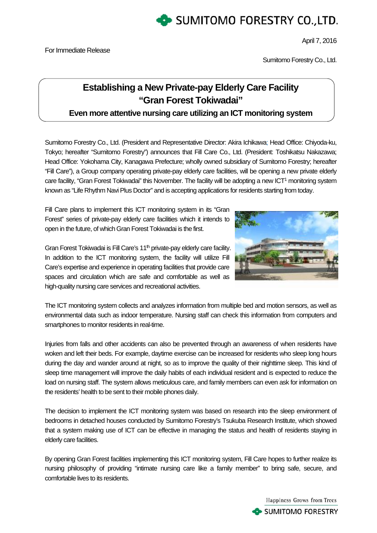

April 7, 2016

Sumitomo Forestry Co., Ltd.

# **Establishing a New Private-pay Elderly Care Facility "Gran Forest Tokiwadai"**

**Even more attentive nursing care utilizing an ICT monitoring system** 

Sumitomo Forestry Co., Ltd. (President and Representative Director: Akira Ichikawa; Head Office: Chiyoda-ku, Tokyo; hereafter "Sumitomo Forestry") announces that Fill Care Co., Ltd. (President: Toshikatsu Nakazawa; Head Office: Yokohama City, Kanagawa Prefecture; wholly owned subsidiary of Sumitomo Forestry; hereafter "Fill Care"), a Group company operating private-pay elderly care facilities, will be opening a new private elderly care facility, "Gran Forest Tokiwadai" this November. The facility will be adopting a new ICT<sup>1</sup> monitoring system known as "Life Rhythm Navi Plus Doctor" and is accepting applications for residents starting from today.

Fill Care plans to implement this ICT monitoring system in its "Gran Forest" series of private-pay elderly care facilities which it intends to open in the future, of which Gran Forest Tokiwadai is the first.



Gran Forest Tokiwadai is Fill Care's 11<sup>th</sup> private-pay elderly care facility. In addition to the ICT monitoring system, the facility will utilize Fill Care's expertise and experience in operating facilities that provide care spaces and circulation which are safe and comfortable as well as high-quality nursing care services and recreational activities.

The ICT monitoring system collects and analyzes information from multiple bed and motion sensors, as well as environmental data such as indoor temperature. Nursing staff can check this information from computers and smartphones to monitor residents in real-time.

Injuries from falls and other accidents can also be prevented through an awareness of when residents have woken and left their beds. For example, daytime exercise can be increased for residents who sleep long hours during the day and wander around at night, so as to improve the quality of their nighttime sleep. This kind of sleep time management will improve the daily habits of each individual resident and is expected to reduce the load on nursing staff. The system allows meticulous care, and family members can even ask for information on the residents' health to be sent to their mobile phones daily.

The decision to implement the ICT monitoring system was based on research into the sleep environment of bedrooms in detached houses conducted by Sumitomo Forestry's Tsukuba Research Institute, which showed that a system making use of ICT can be effective in managing the status and health of residents staying in elderly care facilities.

By opening Gran Forest facilities implementing this ICT monitoring system, Fill Care hopes to further realize its nursing philosophy of providing "intimate nursing care like a family member" to bring safe, secure, and comfortable lives to its residents.